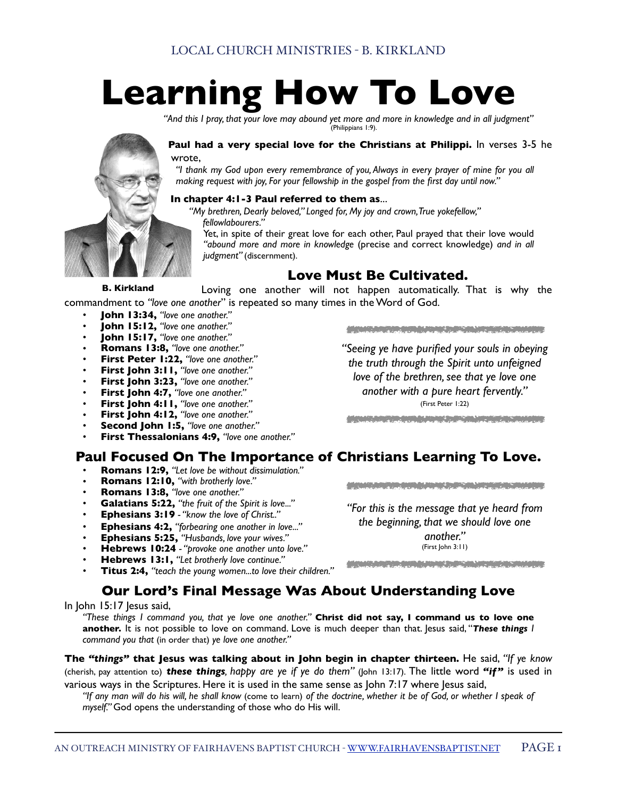# **Learning How To Love**

*"And this I pray, that your love may abound yet more and more in knowledge and in all judgment"*  (Philippians 1:9).

**Paul had a very special love for the Christians at Philippi.** In verses 3-5 he wrote,

*"I thank my God upon every remembrance of you, Always in every prayer of mine for you all making request with joy, For your fellowship in the gospel from the first day until now."* 

#### **In chapter 4:1-3 Paul referred to them as**...

*"My brethren, Dearly beloved," Longed for, My joy and crown, True yokefellow," fellowlabourers."*

Yet, in spite of their great love for each other, Paul prayed that their love would *"abound more and more in knowledge* (precise and correct knowledge) *and in all judgment"* (discernment).

### **Love Must Be Cultivated.**

Loving one another will not happen automatically. That is why the commandment to *"love one another*" is repeated so many times in the Word of God. **B. Kirkland**

- *•* **John 13:34,** *"love one another."*
- *•* **John 15:12,** *"love one another."*
- *•* **John 15:17,** *"love one another."*
- *•* **Romans 13:8,** *"love one another."*
- *•* **First Peter 1:22,** *"love one another."*
- *•* **First John 3:11,** *"love one another."*
- *•* **First John 3:23,** *"love one another."*
- *•* **First John 4:7,** *"love one another."*
- *•* **First John 4:11,** *"love one another."*
- *•* **First John 4:12,** *"love one another."*
- *•* **Second John 1:5,** *"love one another."*
- *•* **First Thessalonians 4:9,** *"love one another."*

## **Paul Focused On The Importance of Christians Learning To Love.**

- *•* **Romans 12:9,** *"Let love be without dissimulation."*
- *•* **Romans 12:10,** *"with brotherly love."*
- *•* **Romans 13:8,** *"love one another."*
- *•* **Galatians 5:22,** *"the fruit of the Spirit is love..."*
- *•* **Ephesians 3:19**  *"know the love of Christ.."*
- *•* **Ephesians 4:2,** *"forbearing one another in love..."*
- *•* **Ephesians 5:25,** *"Husbands, love your wives."*
- *•* **Hebrews 10:24**  *"provoke one another unto love."*
- *•* **Hebrews 13:1,** *"Let brotherly love continue."*
- *•* **Titus 2:4,** *"teach the young women...to love their children."*

## **Our Lord's Final Message Was About Understanding Love**

In John 15:17 Jesus said,

*"These things I command you, that ye love one another."* **Christ did not say, I command us to love one another.** It is not possible to love on command. Love is much deeper than that. Jesus said, "*These things I command you that* (in order that) *ye love one another."*

**The** *"things"* **that Jesus was talking about in John begin in chapter thirteen.** He said, *"If ye know* (cherish, pay attention to) *these things, happy are ye if ye do them"* (John 13:17). The little word *"if"* is used in various ways in the Scriptures. Here it is used in the same sense as John 7:17 where Jesus said,

*"If any man will do his will, he shall know* (come to learn) *of the doctrine, whether it be of God, or whether I speak of myself."* God opens the understanding of those who do His will.

AN OUTREACH MINISTRY OF FAIRHAVENS BAPTIST CHURCH - [WWW.FAIRHAVENSBAPTIST.NET](http://www.fairhavensbaptist.net) PAGE 1

a de la contradición de la contradición de la contradición de la contradición de la contradición de la contrad<br>Las contradicións de la contradición de la contradición de la contradición de la contradición de la contradici

*"Seeing ye have purified your souls in obeying the truth through the Spirit unto unfeigned love of the brethren, see that ye love one another with a pure heart fervently."* (First Peter 1:22)

*"For this is the message that ye heard from the beginning, that we should love one* 

*another."* (First John 3:11)

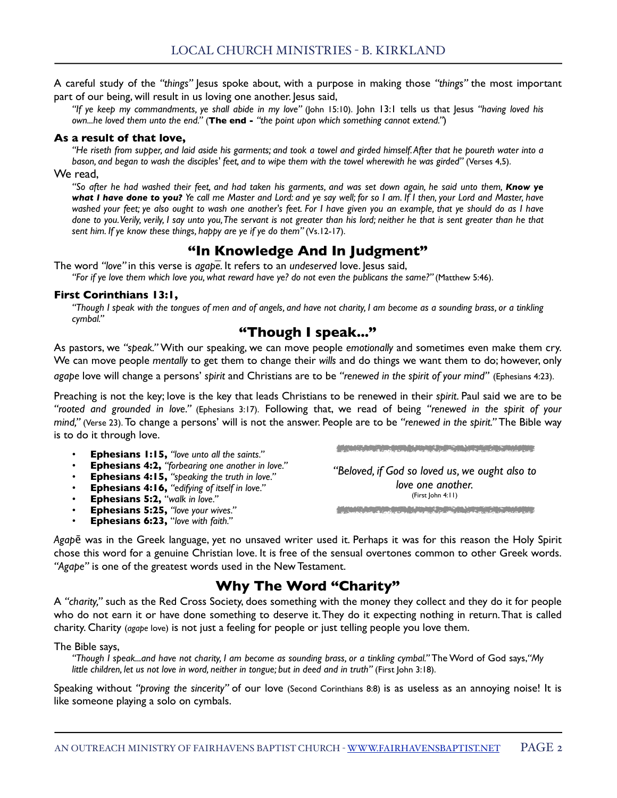A careful study of the *"things"* Jesus spoke about, with a purpose in making those *"things"* the most important part of our being, will result in us loving one another. Jesus said,

*"If ye keep my commandments, ye shall abide in my love"* (John 15:10). John 13:1 tells us that Jesus *"having loved his own...he loved them unto the end."* (**The end -** *"the point upon which something cannot extend."*)

#### **As a result of that love,**

*"He riseth from supper, and laid aside his garments; and took a towel and girded himself. After that he poureth water into a bason, and began to wash the disciples' feet, and to wipe them with the towel wherewith he was girded"* (Verses 4,5).

We read.

*"So after he had washed their feet, and had taken his garments, and was set down again, he said unto them, Know ye what I have done to you? Ye call me Master and Lord: and ye say well; for so I am. If I then, your Lord and Master, have washed your feet; ye also ought to wash one another's feet. For I have given you an example, that ye should do as I have done to you. Verily, verily, I say unto you, The servant is not greater than his lord; neither he that is sent greater than he that*  sent him. If ye know these things, happy are ye if ye do them" (Vs.12-17).

## **"In Knowledge And In Judgment"**

The word *"love"* in this verse is *agapē.* It refers to an *undeserved* love. Jesus said,

*"For if ye love them which love you, what reward have ye? do not even the publicans the same?"* (Matthew 5:46).

#### **First Corinthians 13:1,**

*"Though I speak with the tongues of men and of angels, and have not charity, I am become as a sounding brass, or a tinkling cymbal."*

## **"Though I speak..."**

As pastors, we *"speak."* With our speaking, we can move people *emotionally* and sometimes even make them cry. We can move people *mentally* to get them to change their *wills* and do things we want them to do; however, only *agape* love will change a persons' *spirit* and Christians are to be *"renewed in the spirit of your mind"* (Ephesians 4:23).

Preaching is not the key; love is the key that leads Christians to be renewed in their *spirit*. Paul said we are to be *"rooted and grounded in love."* (Ephesians 3:17). Following that, we read of being *"renewed in the spirit of your mind,"* (Verse 23). To change a persons' will is not the answer. People are to be *"renewed in the spirit."* The Bible way is to do it through love.

- *•* **Ephesians 1:15,** *"love unto all the saints."*
- *•* **Ephesians 4:2,** *"forbearing one another in love."*
- *•* **Ephesians 4:15,** *"speaking the truth in love."*
- *•* **Ephesians 4:16,** *"edifying of itself in love."*
- *•* **Ephesians 5:2,** "*walk in love."*
- *•* **Ephesians 5:25,** *"love your wives."*
- *•* **Ephesians 6:23,** "*love with faith."*

MARINE AND DESCRIPTION OF PROPERTY OF PROPERTY.

*"Beloved, if God so loved us, we ought also to love one another.* (First John 4:11)a shekarar ta 2000, a shekarar 2000 yil kasa ta 2000 yil kasa ta 2000 yil kasa ta 2000 yil kasa ta 2000.<br>Ta ga shekarar ta 2000 yil kasa ta 2000 yil kasa ta 2000 yil kasa ta 2000 yil kasa ta 2000 yil kasa ta 2000 yi

*Agap*ē was in the Greek language, yet no unsaved writer used it. Perhaps it was for this reason the Holy Spirit chose this word for a genuine Christian love. It is free of the sensual overtones common to other Greek words. *"Agape"* is one of the greatest words used in the New Testament.

## **Why The Word "Charity"**

A *"charity,"* such as the Red Cross Society, does something with the money they collect and they do it for people who do not earn it or have done something to deserve it. They do it expecting nothing in return. That is called charity. Charity (*agape* love) is not just a feeling for people or just telling people you love them.

#### The Bible says,

*"Though I speak...and have not charity, I am become as sounding brass, or a tinkling cymbal."* The Word of God says,*"My little children, let us not love in word, neither in tongue; but in deed and in truth"* (First John 3:18).

Speaking without *"proving the sincerity"* of our love (Second Corinthians 8:8) is as useless as an annoying noise! It is like someone playing a solo on cymbals.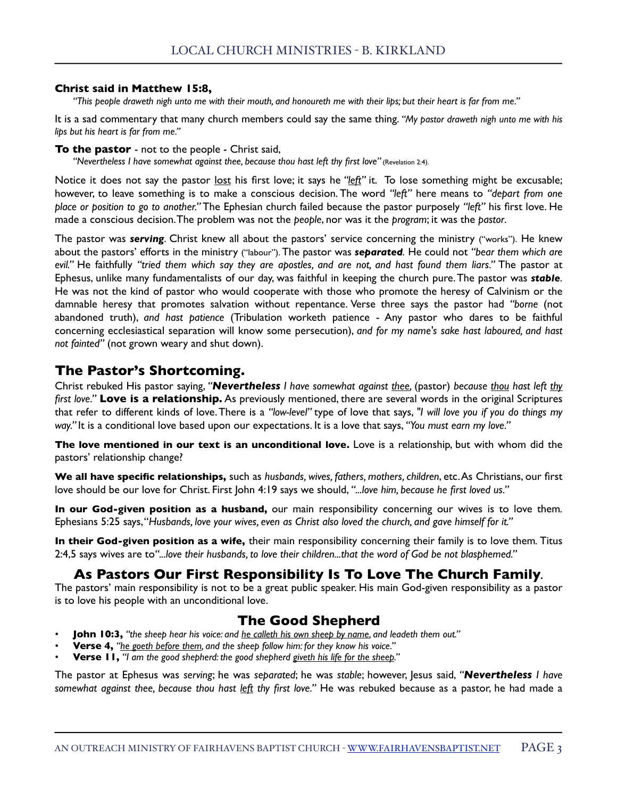#### **Christ said in Matthew 15:8,**

*"This people draweth nigh unto me with their mouth, and honoureth me with their lips; but their heart is far from me."* 

It is a sad commentary that many church members could say the same thing. *"My pastor draweth nigh unto me with his lips but his heart is far from me."* 

#### **To the pastor** - not to the people - Christ said,

"Nevertheless I have somewhat against thee, because thou hast left thy first love" (Revelation 2:4).

Notice it does not say the pastor lost his first love; it says he "left" it. To lose something might be excusable; however, to leave something is to make a conscious decision. The word *"left"* here means to *"depart from one place or position to go to another."* The Ephesian church failed because the pastor purposely *"left"* his first love. He made a conscious decision. The problem was not the *people*, nor was it the *program*; it was the *pastor*.

The pastor was *serving*. Christ knew all about the pastors' service concerning the ministry ("works"). He knew about the pastors' efforts in the ministry ("labour"). The pastor was *separated.* He could not *"bear them which are evil."* He faithfully *"tried them which say they are apostles, and are not, and hast found them liars."* The pastor at Ephesus, unlike many fundamentalists of our day, was faithful in keeping the church pure. The pastor was *stable*. He was not the kind of pastor who would cooperate with those who promote the heresy of Calvinism or the damnable heresy that promotes salvation without repentance. Verse three says the pastor had *"borne* (not abandoned truth), *and hast patience* (Tribulation worketh patience - Any pastor who dares to be faithful concerning ecclesiastical separation will know some persecution), *and for my name's sake hast laboured, and hast not fainted"* (not grown weary and shut down).

## **The Pastor's Shortcoming.**

Christ rebuked His pastor saying, *"Nevertheless I have somewhat against thee,* (pastor) *because thou hast left thy first love."* **Love is a relationship.** As previously mentioned, there are several words in the original Scriptures that refer to different kinds of love. There is a *"low-level"* type of love that says, *"I will love you if you do things my way."* It is a conditional love based upon our expectations. It is a love that says, *"You must earn my love."* 

**The love mentioned in our text is an unconditional love.** Love is a relationship, but with whom did the pastors' relationship change?

**We all have specific relationships,** such as *husbands, wives, fathers, mothers, children*, etc. As Christians, our first love should be our love for Christ. First John 4:19 says we should, *"...love him, because he first loved us."*

**In our God-given position as a husband,** our main responsibility concerning our wives is to love them*.*  Ephesians 5:25 says, "*Husbands, love your wives, even as Christ also loved the church, and gave himself for it."*

**In their God-given position as a wife,** their main responsibility concerning their family is to love them*.* Titus 2:4,5 says wives are to*"...love their husbands, to love their children...that the word of God be not blasphemed."* 

## **As Pastors Our First Responsibility Is To Love The Church Family***.*

The pastors' main responsibility is not to be a great public speaker. His main God-given responsibility as a pastor is to love his people with an unconditional love.

## **The Good Shepherd**

- *•* **John 10:3,** *"the sheep hear his voice: and he calleth his own sheep by name, and leadeth them out."*
- *•* **Verse 4,** *"he goeth before them, and the sheep follow him: for they know his voice."*
- *•* **Verse 11,** *"I am the good shepherd: the good shepherd giveth his life for the sheep."*

The pastor at Ephesus was *serving*; he was *separated*; he was *stable*; however, Jesus said, *"Nevertheless I have somewhat against thee, because thou hast left thy first love."* He was rebuked because as a pastor, he had made a